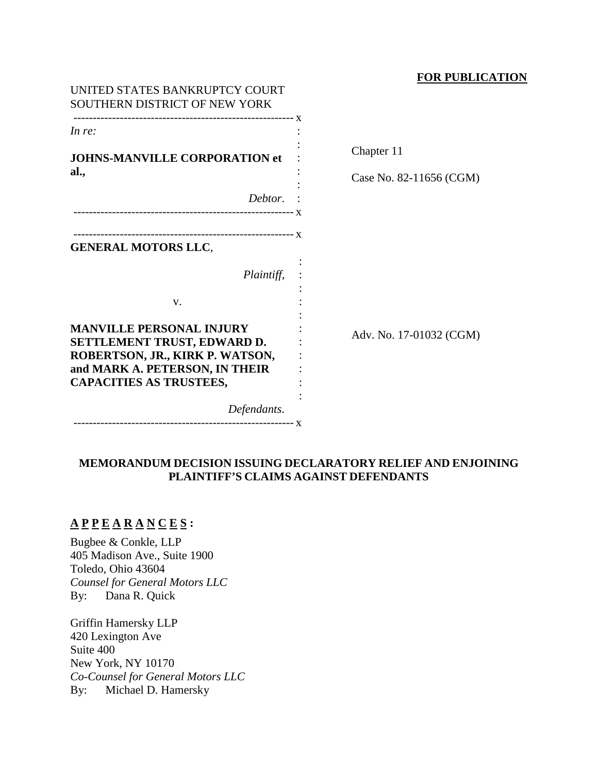## **FOR PUBLICATION**

| UNITED STATES BANKRUPTCY COURT<br>SOUTHERN DISTRICT OF NEW YORK                                                                                                       |                         |
|-----------------------------------------------------------------------------------------------------------------------------------------------------------------------|-------------------------|
| In re:                                                                                                                                                                |                         |
| <b>JOHNS-MANVILLE CORPORATION et</b>                                                                                                                                  | Chapter 11              |
| al.,                                                                                                                                                                  | Case No. 82-11656 (CGM) |
| Debtor.                                                                                                                                                               |                         |
| <b>GENERAL MOTORS LLC,</b><br>Plaintiff,                                                                                                                              |                         |
| V.                                                                                                                                                                    |                         |
| <b>MANVILLE PERSONAL INJURY</b><br>SETTLEMENT TRUST, EDWARD D.<br>ROBERTSON, JR., KIRK P. WATSON,<br>and MARK A. PETERSON, IN THEIR<br><b>CAPACITIES AS TRUSTEES,</b> | Adv. No. 17-01032 (CGM) |
| Defendants.                                                                                                                                                           |                         |
|                                                                                                                                                                       |                         |

# **MEMORANDUM DECISION ISSUING DECLARATORY RELIEF AND ENJOINING PLAINTIFF'S CLAIMS AGAINST DEFENDANTS**

# **A P P E A R A N C E S :**

Bugbee & Conkle, LLP 405 Madison Ave., Suite 1900 Toledo, Ohio 43604 *Counsel for General Motors LLC* By: Dana R. Quick

Griffin Hamersky LLP 420 Lexington Ave Suite 400 New York, NY 10170 *Co-Counsel for General Motors LLC* By: Michael D. Hamersky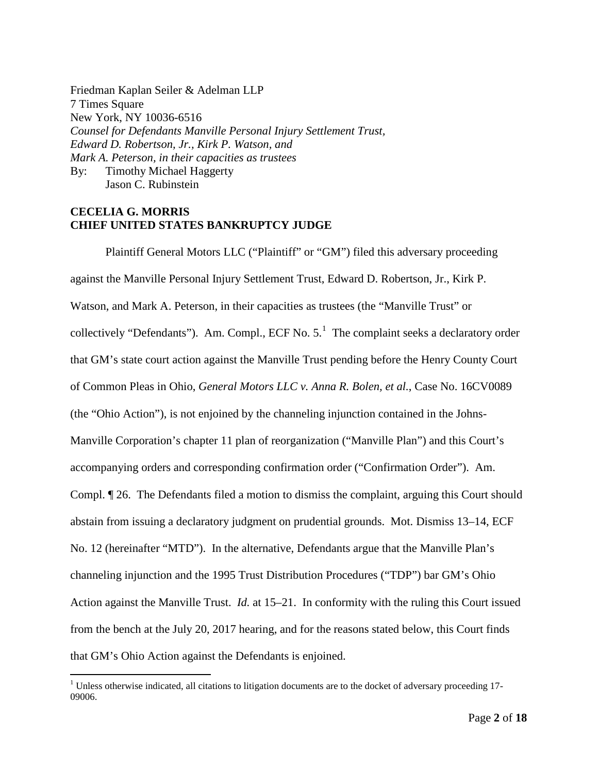Friedman Kaplan Seiler & Adelman LLP 7 Times Square New York, NY 10036-6516 *Counsel for Defendants Manville Personal Injury Settlement Trust, Edward D. Robertson, Jr., Kirk P. Watson, and Mark A. Peterson, in their capacities as trustees* By: Timothy Michael Haggerty Jason C. Rubinstein

## **CECELIA G. MORRIS CHIEF UNITED STATES BANKRUPTCY JUDGE**

Plaintiff General Motors LLC ("Plaintiff" or "GM") filed this adversary proceeding against the Manville Personal Injury Settlement Trust, Edward D. Robertson, Jr., Kirk P. Watson, and Mark A. Peterson, in their capacities as trustees (the "Manville Trust" or collectively "Defendants"). Am. Compl., ECF No.  $5<sup>1</sup>$  $5<sup>1</sup>$  $5<sup>1</sup>$  The complaint seeks a declaratory order that GM's state court action against the Manville Trust pending before the Henry County Court of Common Pleas in Ohio, *General Motors LLC v. Anna R. Bolen, et al.*, Case No. 16CV0089 (the "Ohio Action"), is not enjoined by the channeling injunction contained in the Johns-Manville Corporation's chapter 11 plan of reorganization ("Manville Plan") and this Court's accompanying orders and corresponding confirmation order ("Confirmation Order"). Am. Compl. ¶ 26. The Defendants filed a motion to dismiss the complaint, arguing this Court should abstain from issuing a declaratory judgment on prudential grounds. Mot. Dismiss 13–14, ECF No. 12 (hereinafter "MTD"). In the alternative, Defendants argue that the Manville Plan's channeling injunction and the 1995 Trust Distribution Procedures ("TDP") bar GM's Ohio Action against the Manville Trust. *Id.* at 15–21. In conformity with the ruling this Court issued from the bench at the July 20, 2017 hearing, and for the reasons stated below, this Court finds that GM's Ohio Action against the Defendants is enjoined.

<span id="page-1-0"></span> $1$  Unless otherwise indicated, all citations to litigation documents are to the docket of adversary proceeding 17-09006.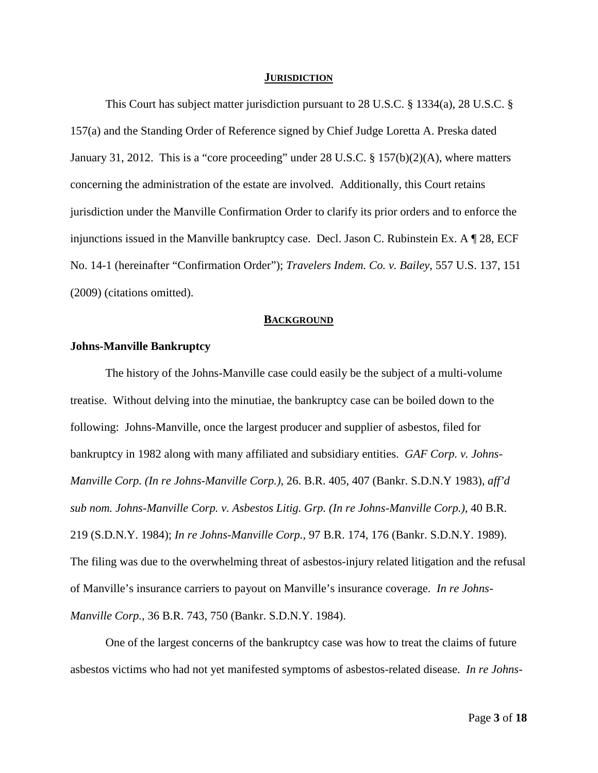#### **JURISDICTION**

This Court has subject matter jurisdiction pursuant to 28 U.S.C. § 1334(a), 28 U.S.C. § 157(a) and the Standing Order of Reference signed by Chief Judge Loretta A. Preska dated January 31, 2012. This is a "core proceeding" under 28 U.S.C. § 157(b)(2)(A), where matters concerning the administration of the estate are involved. Additionally, this Court retains jurisdiction under the Manville Confirmation Order to clarify its prior orders and to enforce the injunctions issued in the Manville bankruptcy case. Decl. Jason C. Rubinstein Ex. A ¶ 28, ECF No. 14-1 (hereinafter "Confirmation Order"); *Travelers Indem. Co. v. Bailey*, 557 U.S. 137, 151 (2009) (citations omitted).

#### **BACKGROUND**

## **Johns-Manville Bankruptcy**

The history of the Johns-Manville case could easily be the subject of a multi-volume treatise. Without delving into the minutiae, the bankruptcy case can be boiled down to the following: Johns-Manville, once the largest producer and supplier of asbestos, filed for bankruptcy in 1982 along with many affiliated and subsidiary entities. *GAF Corp. v. Johns-Manville Corp. (In re Johns-Manville Corp.)*, 26. B.R. 405, 407 (Bankr. S.D.N.Y 1983), *aff'd sub nom. Johns-Manville Corp. v. Asbestos Litig. Grp. (In re Johns-Manville Corp.)*, 40 B.R. 219 (S.D.N.Y. 1984); *In re Johns-Manville Corp.*, 97 B.R. 174, 176 (Bankr. S.D.N.Y. 1989). The filing was due to the overwhelming threat of asbestos-injury related litigation and the refusal of Manville's insurance carriers to payout on Manville's insurance coverage. *In re Johns-Manville Corp.*, 36 B.R. 743, 750 (Bankr. S.D.N.Y. 1984).

One of the largest concerns of the bankruptcy case was how to treat the claims of future asbestos victims who had not yet manifested symptoms of asbestos-related disease. *In re Johns-*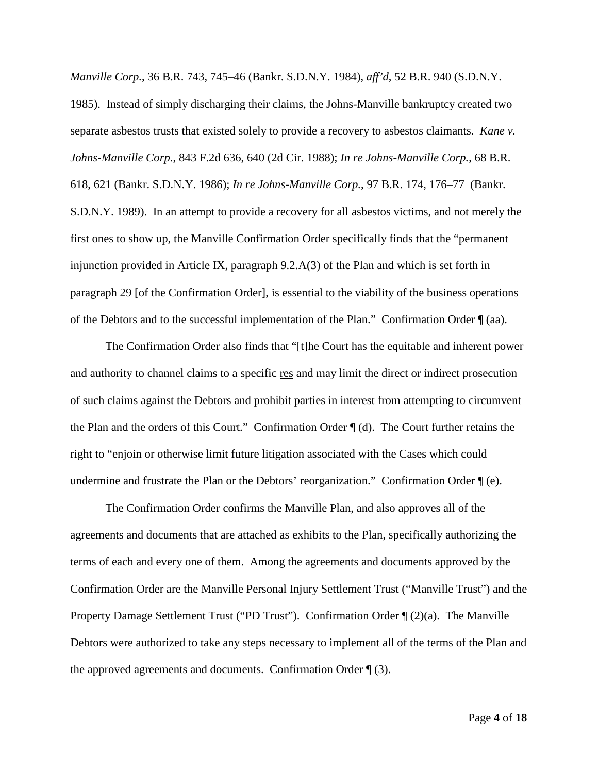*Manville Corp.*, 36 B.R. 743, 745–46 (Bankr. S.D.N.Y. 1984), *aff'd*, 52 B.R. 940 (S.D.N.Y. 1985). Instead of simply discharging their claims, the Johns-Manville bankruptcy created two separate asbestos trusts that existed solely to provide a recovery to asbestos claimants. *Kane v. Johns-Manville Corp.*, 843 F.2d 636, 640 (2d Cir. 1988); *In re Johns-Manville Corp.*, 68 B.R. 618, 621 (Bankr. S.D.N.Y. 1986); *In re Johns-Manville Corp.*, 97 B.R. 174, 176–77 (Bankr. S.D.N.Y. 1989). In an attempt to provide a recovery for all asbestos victims, and not merely the first ones to show up, the Manville Confirmation Order specifically finds that the "permanent injunction provided in Article IX, paragraph 9.2.A(3) of the Plan and which is set forth in paragraph 29 [of the Confirmation Order], is essential to the viability of the business operations of the Debtors and to the successful implementation of the Plan." Confirmation Order ¶ (aa).

The Confirmation Order also finds that "[t]he Court has the equitable and inherent power and authority to channel claims to a specific res and may limit the direct or indirect prosecution of such claims against the Debtors and prohibit parties in interest from attempting to circumvent the Plan and the orders of this Court." Confirmation Order ¶ (d). The Court further retains the right to "enjoin or otherwise limit future litigation associated with the Cases which could undermine and frustrate the Plan or the Debtors' reorganization." Confirmation Order ¶ (e).

The Confirmation Order confirms the Manville Plan, and also approves all of the agreements and documents that are attached as exhibits to the Plan, specifically authorizing the terms of each and every one of them. Among the agreements and documents approved by the Confirmation Order are the Manville Personal Injury Settlement Trust ("Manville Trust") and the Property Damage Settlement Trust ("PD Trust"). Confirmation Order  $\P(2)(a)$ . The Manville Debtors were authorized to take any steps necessary to implement all of the terms of the Plan and the approved agreements and documents. Confirmation Order  $\P(3)$ .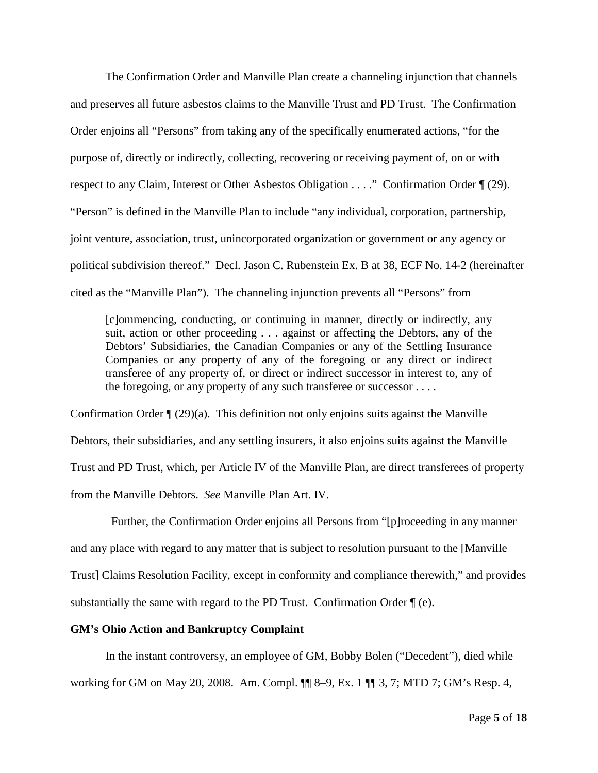The Confirmation Order and Manville Plan create a channeling injunction that channels and preserves all future asbestos claims to the Manville Trust and PD Trust. The Confirmation Order enjoins all "Persons" from taking any of the specifically enumerated actions, "for the purpose of, directly or indirectly, collecting, recovering or receiving payment of, on or with respect to any Claim, Interest or Other Asbestos Obligation . . . ." Confirmation Order ¶ (29). "Person" is defined in the Manville Plan to include "any individual, corporation, partnership, joint venture, association, trust, unincorporated organization or government or any agency or political subdivision thereof." Decl. Jason C. Rubenstein Ex. B at 38, ECF No. 14-2 (hereinafter cited as the "Manville Plan"). The channeling injunction prevents all "Persons" from

[c]ommencing, conducting, or continuing in manner, directly or indirectly, any suit, action or other proceeding . . . against or affecting the Debtors, any of the Debtors' Subsidiaries, the Canadian Companies or any of the Settling Insurance Companies or any property of any of the foregoing or any direct or indirect transferee of any property of, or direct or indirect successor in interest to, any of the foregoing, or any property of any such transferee or successor . . . .

Confirmation Order  $\P$  (29)(a). This definition not only enjoins suits against the Manville Debtors, their subsidiaries, and any settling insurers, it also enjoins suits against the Manville Trust and PD Trust, which, per Article IV of the Manville Plan, are direct transferees of property from the Manville Debtors. *See* Manville Plan Art. IV.

 Further, the Confirmation Order enjoins all Persons from "[p]roceeding in any manner and any place with regard to any matter that is subject to resolution pursuant to the [Manville Trust] Claims Resolution Facility, except in conformity and compliance therewith," and provides substantially the same with regard to the PD Trust. Confirmation Order ¶ (e).

#### **GM's Ohio Action and Bankruptcy Complaint**

In the instant controversy, an employee of GM, Bobby Bolen ("Decedent"), died while working for GM on May 20, 2008. Am. Compl. ¶¶ 8–9, Ex. 1 ¶¶ 3, 7; MTD 7; GM's Resp. 4,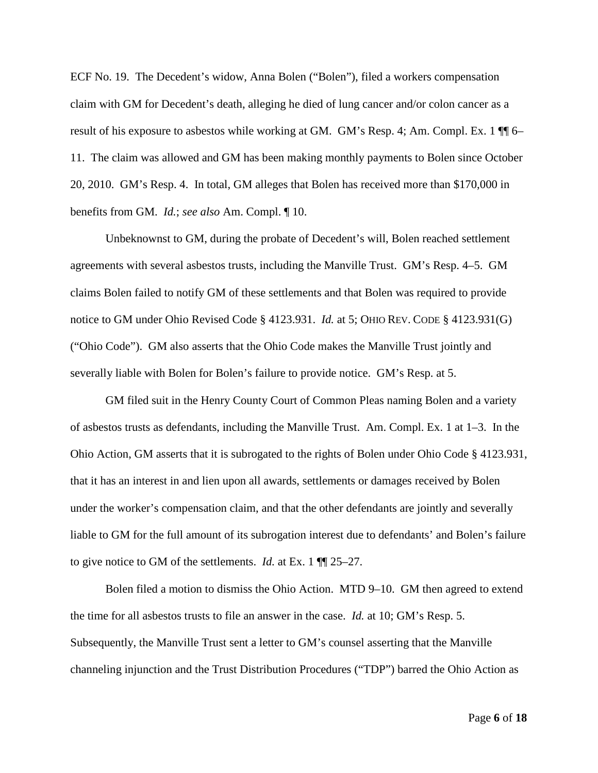ECF No. 19. The Decedent's widow, Anna Bolen ("Bolen"), filed a workers compensation claim with GM for Decedent's death, alleging he died of lung cancer and/or colon cancer as a result of his exposure to asbestos while working at GM. GM's Resp. 4; Am. Compl. Ex. 1  $\P$  6– 11. The claim was allowed and GM has been making monthly payments to Bolen since October 20, 2010. GM's Resp. 4. In total, GM alleges that Bolen has received more than \$170,000 in benefits from GM. *Id.*; *see also* Am. Compl. ¶ 10.

Unbeknownst to GM, during the probate of Decedent's will, Bolen reached settlement agreements with several asbestos trusts, including the Manville Trust. GM's Resp. 4–5. GM claims Bolen failed to notify GM of these settlements and that Bolen was required to provide notice to GM under Ohio Revised Code § 4123.931. *Id.* at 5; OHIO REV. CODE § 4123.931(G) ("Ohio Code"). GM also asserts that the Ohio Code makes the Manville Trust jointly and severally liable with Bolen for Bolen's failure to provide notice. GM's Resp. at 5.

GM filed suit in the Henry County Court of Common Pleas naming Bolen and a variety of asbestos trusts as defendants, including the Manville Trust. Am. Compl. Ex. 1 at 1–3. In the Ohio Action, GM asserts that it is subrogated to the rights of Bolen under Ohio Code § 4123.931, that it has an interest in and lien upon all awards, settlements or damages received by Bolen under the worker's compensation claim, and that the other defendants are jointly and severally liable to GM for the full amount of its subrogation interest due to defendants' and Bolen's failure to give notice to GM of the settlements. *Id.* at Ex. 1 ¶¶ 25–27.

Bolen filed a motion to dismiss the Ohio Action. MTD 9–10. GM then agreed to extend the time for all asbestos trusts to file an answer in the case. *Id.* at 10; GM's Resp. 5. Subsequently, the Manville Trust sent a letter to GM's counsel asserting that the Manville channeling injunction and the Trust Distribution Procedures ("TDP") barred the Ohio Action as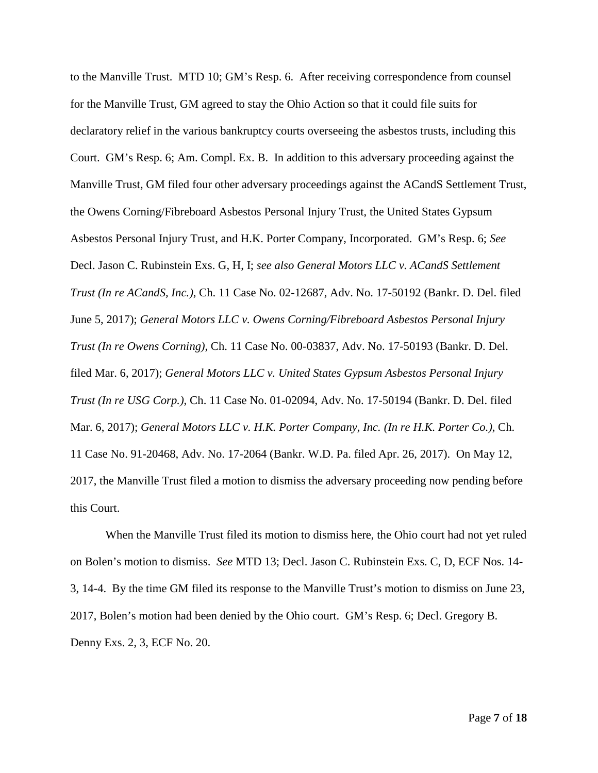to the Manville Trust. MTD 10; GM's Resp. 6. After receiving correspondence from counsel for the Manville Trust, GM agreed to stay the Ohio Action so that it could file suits for declaratory relief in the various bankruptcy courts overseeing the asbestos trusts, including this Court. GM's Resp. 6; Am. Compl. Ex. B. In addition to this adversary proceeding against the Manville Trust, GM filed four other adversary proceedings against the ACandS Settlement Trust, the Owens Corning/Fibreboard Asbestos Personal Injury Trust, the United States Gypsum Asbestos Personal Injury Trust, and H.K. Porter Company, Incorporated. GM's Resp. 6; *See* Decl. Jason C. Rubinstein Exs. G, H, I; *see also General Motors LLC v. ACandS Settlement Trust (In re ACandS, Inc.)*, Ch. 11 Case No. 02-12687, Adv. No. 17-50192 (Bankr. D. Del. filed June 5, 2017); *General Motors LLC v. Owens Corning/Fibreboard Asbestos Personal Injury Trust (In re Owens Corning)*, Ch. 11 Case No. 00-03837, Adv. No. 17-50193 (Bankr. D. Del. filed Mar. 6, 2017); *General Motors LLC v. United States Gypsum Asbestos Personal Injury Trust (In re USG Corp.)*, Ch. 11 Case No. 01-02094, Adv. No. 17-50194 (Bankr. D. Del. filed Mar. 6, 2017); *General Motors LLC v. H.K. Porter Company, Inc. (In re H.K. Porter Co.)*, Ch. 11 Case No. 91-20468, Adv. No. 17-2064 (Bankr. W.D. Pa. filed Apr. 26, 2017). On May 12, 2017, the Manville Trust filed a motion to dismiss the adversary proceeding now pending before this Court.

When the Manville Trust filed its motion to dismiss here, the Ohio court had not yet ruled on Bolen's motion to dismiss. *See* MTD 13; Decl. Jason C. Rubinstein Exs. C, D, ECF Nos. 14- 3, 14-4. By the time GM filed its response to the Manville Trust's motion to dismiss on June 23, 2017, Bolen's motion had been denied by the Ohio court. GM's Resp. 6; Decl. Gregory B. Denny Exs. 2, 3, ECF No. 20.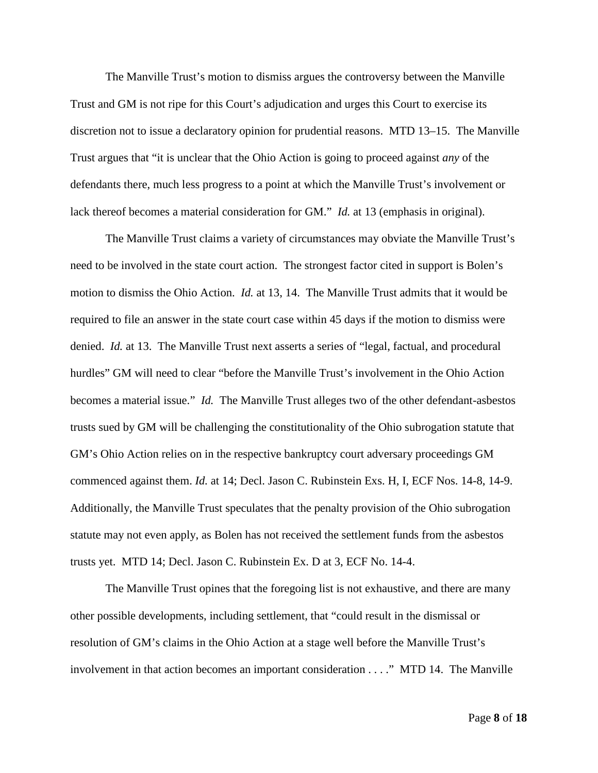The Manville Trust's motion to dismiss argues the controversy between the Manville Trust and GM is not ripe for this Court's adjudication and urges this Court to exercise its discretion not to issue a declaratory opinion for prudential reasons. MTD 13–15. The Manville Trust argues that "it is unclear that the Ohio Action is going to proceed against *any* of the defendants there, much less progress to a point at which the Manville Trust's involvement or lack thereof becomes a material consideration for GM." *Id.* at 13 (emphasis in original).

The Manville Trust claims a variety of circumstances may obviate the Manville Trust's need to be involved in the state court action. The strongest factor cited in support is Bolen's motion to dismiss the Ohio Action. *Id.* at 13, 14. The Manville Trust admits that it would be required to file an answer in the state court case within 45 days if the motion to dismiss were denied. *Id.* at 13. The Manville Trust next asserts a series of "legal, factual, and procedural hurdles" GM will need to clear "before the Manville Trust's involvement in the Ohio Action becomes a material issue." *Id.* The Manville Trust alleges two of the other defendant-asbestos trusts sued by GM will be challenging the constitutionality of the Ohio subrogation statute that GM's Ohio Action relies on in the respective bankruptcy court adversary proceedings GM commenced against them. *Id.* at 14; Decl. Jason C. Rubinstein Exs. H, I, ECF Nos. 14-8, 14-9. Additionally, the Manville Trust speculates that the penalty provision of the Ohio subrogation statute may not even apply, as Bolen has not received the settlement funds from the asbestos trusts yet. MTD 14; Decl. Jason C. Rubinstein Ex. D at 3, ECF No. 14-4.

The Manville Trust opines that the foregoing list is not exhaustive, and there are many other possible developments, including settlement, that "could result in the dismissal or resolution of GM's claims in the Ohio Action at a stage well before the Manville Trust's involvement in that action becomes an important consideration . . . ." MTD 14. The Manville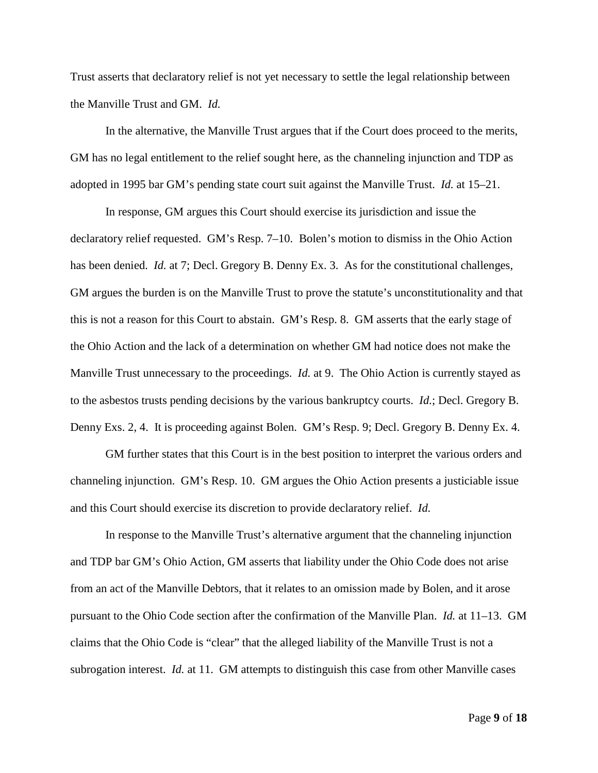Trust asserts that declaratory relief is not yet necessary to settle the legal relationship between the Manville Trust and GM. *Id.*

In the alternative, the Manville Trust argues that if the Court does proceed to the merits, GM has no legal entitlement to the relief sought here, as the channeling injunction and TDP as adopted in 1995 bar GM's pending state court suit against the Manville Trust. *Id.* at 15–21.

In response, GM argues this Court should exercise its jurisdiction and issue the declaratory relief requested. GM's Resp. 7–10. Bolen's motion to dismiss in the Ohio Action has been denied. *Id.* at 7; Decl. Gregory B. Denny Ex. 3. As for the constitutional challenges, GM argues the burden is on the Manville Trust to prove the statute's unconstitutionality and that this is not a reason for this Court to abstain. GM's Resp. 8. GM asserts that the early stage of the Ohio Action and the lack of a determination on whether GM had notice does not make the Manville Trust unnecessary to the proceedings. *Id.* at 9. The Ohio Action is currently stayed as to the asbestos trusts pending decisions by the various bankruptcy courts. *Id.*; Decl. Gregory B. Denny Exs. 2, 4. It is proceeding against Bolen. GM's Resp. 9; Decl. Gregory B. Denny Ex. 4.

GM further states that this Court is in the best position to interpret the various orders and channeling injunction. GM's Resp. 10. GM argues the Ohio Action presents a justiciable issue and this Court should exercise its discretion to provide declaratory relief. *Id.*

In response to the Manville Trust's alternative argument that the channeling injunction and TDP bar GM's Ohio Action, GM asserts that liability under the Ohio Code does not arise from an act of the Manville Debtors, that it relates to an omission made by Bolen, and it arose pursuant to the Ohio Code section after the confirmation of the Manville Plan. *Id.* at 11–13. GM claims that the Ohio Code is "clear" that the alleged liability of the Manville Trust is not a subrogation interest. *Id.* at 11. GM attempts to distinguish this case from other Manville cases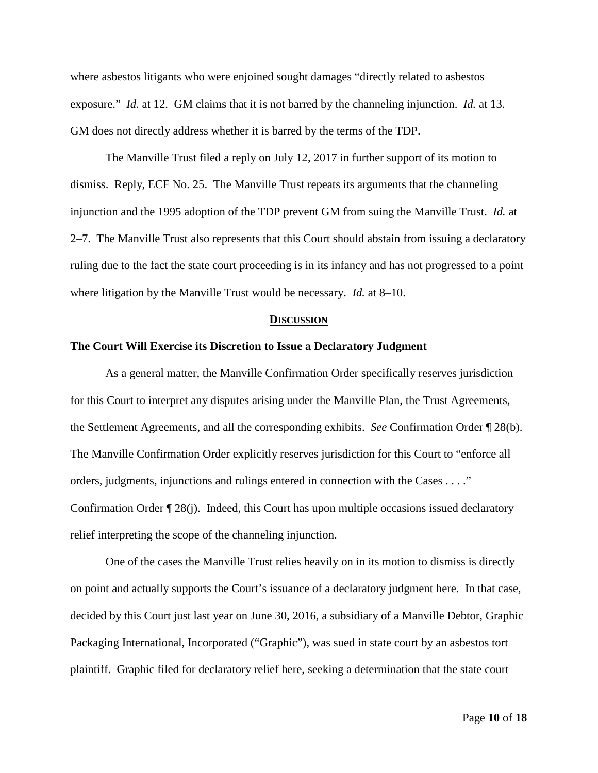where asbestos litigants who were enjoined sought damages "directly related to asbestos exposure." *Id.* at 12. GM claims that it is not barred by the channeling injunction. *Id.* at 13. GM does not directly address whether it is barred by the terms of the TDP.

The Manville Trust filed a reply on July 12, 2017 in further support of its motion to dismiss. Reply, ECF No. 25. The Manville Trust repeats its arguments that the channeling injunction and the 1995 adoption of the TDP prevent GM from suing the Manville Trust. *Id.* at 2–7. The Manville Trust also represents that this Court should abstain from issuing a declaratory ruling due to the fact the state court proceeding is in its infancy and has not progressed to a point where litigation by the Manville Trust would be necessary. *Id.* at 8–10.

#### **DISCUSSION**

#### **The Court Will Exercise its Discretion to Issue a Declaratory Judgment**

As a general matter, the Manville Confirmation Order specifically reserves jurisdiction for this Court to interpret any disputes arising under the Manville Plan, the Trust Agreements, the Settlement Agreements, and all the corresponding exhibits. *See* Confirmation Order ¶ 28(b). The Manville Confirmation Order explicitly reserves jurisdiction for this Court to "enforce all orders, judgments, injunctions and rulings entered in connection with the Cases . . . ." Confirmation Order ¶ 28(j). Indeed, this Court has upon multiple occasions issued declaratory relief interpreting the scope of the channeling injunction.

One of the cases the Manville Trust relies heavily on in its motion to dismiss is directly on point and actually supports the Court's issuance of a declaratory judgment here. In that case, decided by this Court just last year on June 30, 2016, a subsidiary of a Manville Debtor, Graphic Packaging International, Incorporated ("Graphic"), was sued in state court by an asbestos tort plaintiff. Graphic filed for declaratory relief here, seeking a determination that the state court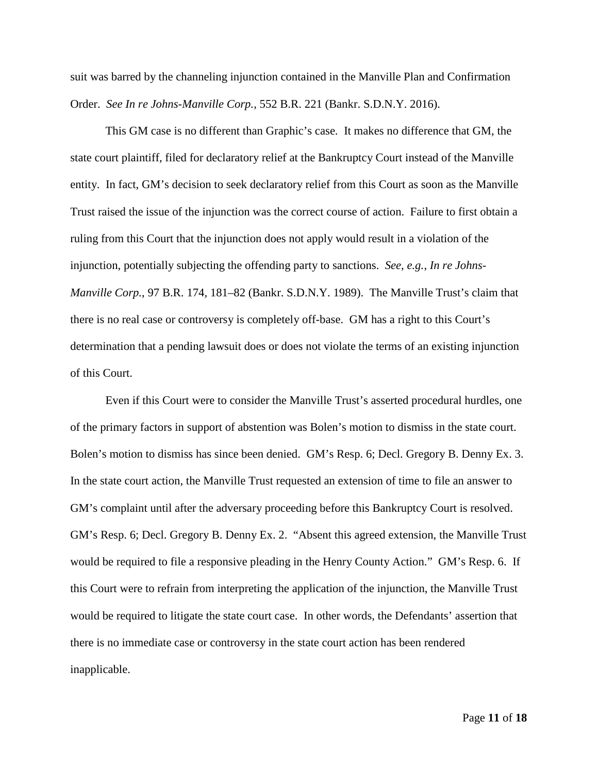suit was barred by the channeling injunction contained in the Manville Plan and Confirmation Order. *See In re Johns-Manville Corp.*, 552 B.R. 221 (Bankr. S.D.N.Y. 2016).

This GM case is no different than Graphic's case. It makes no difference that GM, the state court plaintiff, filed for declaratory relief at the Bankruptcy Court instead of the Manville entity. In fact, GM's decision to seek declaratory relief from this Court as soon as the Manville Trust raised the issue of the injunction was the correct course of action. Failure to first obtain a ruling from this Court that the injunction does not apply would result in a violation of the injunction, potentially subjecting the offending party to sanctions. *See, e.g.*, *In re Johns-Manville Corp.*, 97 B.R. 174, 181–82 (Bankr. S.D.N.Y. 1989). The Manville Trust's claim that there is no real case or controversy is completely off-base. GM has a right to this Court's determination that a pending lawsuit does or does not violate the terms of an existing injunction of this Court.

Even if this Court were to consider the Manville Trust's asserted procedural hurdles, one of the primary factors in support of abstention was Bolen's motion to dismiss in the state court. Bolen's motion to dismiss has since been denied. GM's Resp. 6; Decl. Gregory B. Denny Ex. 3. In the state court action, the Manville Trust requested an extension of time to file an answer to GM's complaint until after the adversary proceeding before this Bankruptcy Court is resolved. GM's Resp. 6; Decl. Gregory B. Denny Ex. 2. "Absent this agreed extension, the Manville Trust would be required to file a responsive pleading in the Henry County Action." GM's Resp. 6. If this Court were to refrain from interpreting the application of the injunction, the Manville Trust would be required to litigate the state court case. In other words, the Defendants' assertion that there is no immediate case or controversy in the state court action has been rendered inapplicable.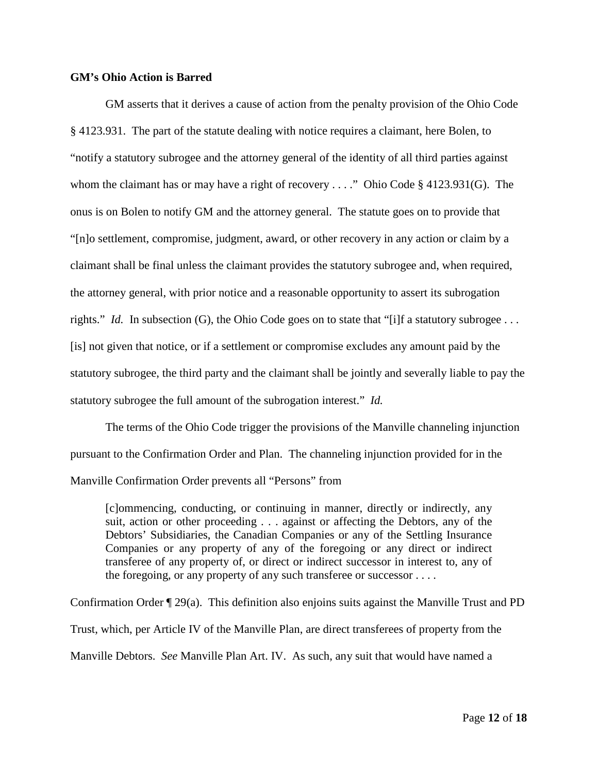## **GM's Ohio Action is Barred**

GM asserts that it derives a cause of action from the penalty provision of the Ohio Code § 4123.931. The part of the statute dealing with notice requires a claimant, here Bolen, to "notify a statutory subrogee and the attorney general of the identity of all third parties against whom the claimant has or may have a right of recovery . . . ." Ohio Code § 4123.931(G). The onus is on Bolen to notify GM and the attorney general. The statute goes on to provide that "[n]o settlement, compromise, judgment, award, or other recovery in any action or claim by a claimant shall be final unless the claimant provides the statutory subrogee and, when required, the attorney general, with prior notice and a reasonable opportunity to assert its subrogation rights." *Id.* In subsection (G), the Ohio Code goes on to state that "[i]f a statutory subrogee ... [is] not given that notice, or if a settlement or compromise excludes any amount paid by the statutory subrogee, the third party and the claimant shall be jointly and severally liable to pay the statutory subrogee the full amount of the subrogation interest." *Id.*

The terms of the Ohio Code trigger the provisions of the Manville channeling injunction pursuant to the Confirmation Order and Plan. The channeling injunction provided for in the Manville Confirmation Order prevents all "Persons" from

[c]ommencing, conducting, or continuing in manner, directly or indirectly, any suit, action or other proceeding . . . against or affecting the Debtors, any of the Debtors' Subsidiaries, the Canadian Companies or any of the Settling Insurance Companies or any property of any of the foregoing or any direct or indirect transferee of any property of, or direct or indirect successor in interest to, any of the foregoing, or any property of any such transferee or successor . . . .

Confirmation Order ¶ 29(a). This definition also enjoins suits against the Manville Trust and PD Trust, which, per Article IV of the Manville Plan, are direct transferees of property from the Manville Debtors. *See* Manville Plan Art. IV. As such, any suit that would have named a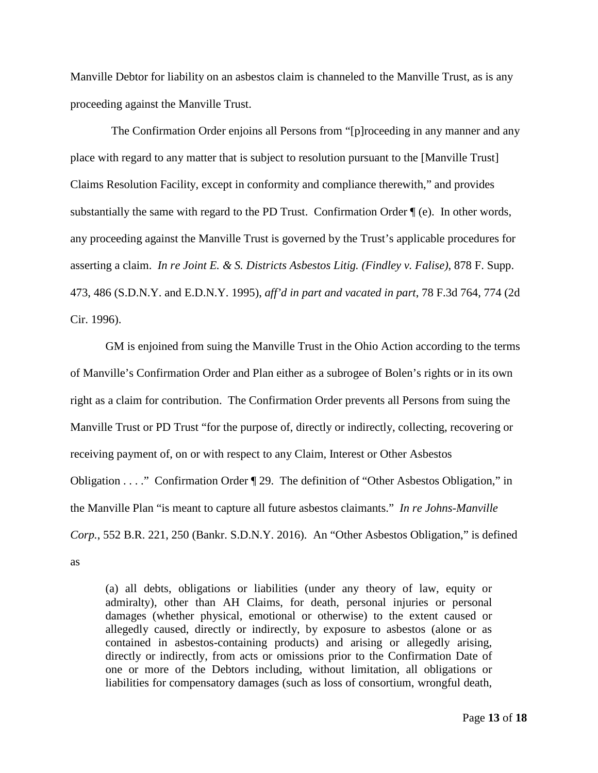Manville Debtor for liability on an asbestos claim is channeled to the Manville Trust, as is any proceeding against the Manville Trust.

 The Confirmation Order enjoins all Persons from "[p]roceeding in any manner and any place with regard to any matter that is subject to resolution pursuant to the [Manville Trust] Claims Resolution Facility, except in conformity and compliance therewith," and provides substantially the same with regard to the PD Trust. Confirmation Order ¶ (e). In other words, any proceeding against the Manville Trust is governed by the Trust's applicable procedures for asserting a claim. *In re Joint E. & S. Districts Asbestos Litig. (Findley v. Falise)*, 878 F. Supp. 473, 486 (S.D.N.Y. and E.D.N.Y. 1995), *aff'd in part and vacated in part*, 78 F.3d 764, 774 (2d Cir. 1996).

GM is enjoined from suing the Manville Trust in the Ohio Action according to the terms of Manville's Confirmation Order and Plan either as a subrogee of Bolen's rights or in its own right as a claim for contribution. The Confirmation Order prevents all Persons from suing the Manville Trust or PD Trust "for the purpose of, directly or indirectly, collecting, recovering or receiving payment of, on or with respect to any Claim, Interest or Other Asbestos Obligation . . . ." Confirmation Order ¶ 29. The definition of "Other Asbestos Obligation," in the Manville Plan "is meant to capture all future asbestos claimants." *In re Johns-Manville Corp.*, 552 B.R. 221, 250 (Bankr. S.D.N.Y. 2016). An "Other Asbestos Obligation," is defined as

(a) all debts, obligations or liabilities (under any theory of law, equity or admiralty), other than AH Claims, for death, personal injuries or personal damages (whether physical, emotional or otherwise) to the extent caused or allegedly caused, directly or indirectly, by exposure to asbestos (alone or as contained in asbestos-containing products) and arising or allegedly arising, directly or indirectly, from acts or omissions prior to the Confirmation Date of one or more of the Debtors including, without limitation, all obligations or liabilities for compensatory damages (such as loss of consortium, wrongful death,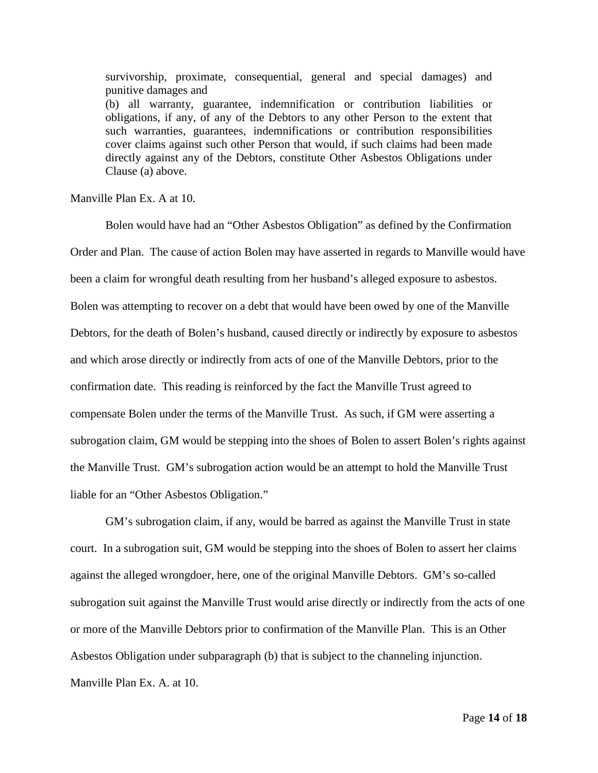survivorship, proximate, consequential, general and special damages) and punitive damages and (b) all warranty, guarantee, indemnification or contribution liabilities or obligations, if any, of any of the Debtors to any other Person to the extent that such warranties, guarantees, indemnifications or contribution responsibilities cover claims against such other Person that would, if such claims had been made directly against any of the Debtors, constitute Other Asbestos Obligations under Clause (a) above.

Manville Plan Ex. A at 10.

Bolen would have had an "Other Asbestos Obligation" as defined by the Confirmation Order and Plan. The cause of action Bolen may have asserted in regards to Manville would have been a claim for wrongful death resulting from her husband's alleged exposure to asbestos. Bolen was attempting to recover on a debt that would have been owed by one of the Manville Debtors, for the death of Bolen's husband, caused directly or indirectly by exposure to asbestos and which arose directly or indirectly from acts of one of the Manville Debtors, prior to the confirmation date. This reading is reinforced by the fact the Manville Trust agreed to compensate Bolen under the terms of the Manville Trust. As such, if GM were asserting a subrogation claim, GM would be stepping into the shoes of Bolen to assert Bolen's rights against the Manville Trust. GM's subrogation action would be an attempt to hold the Manville Trust liable for an "Other Asbestos Obligation."

GM's subrogation claim, if any, would be barred as against the Manville Trust in state court. In a subrogation suit, GM would be stepping into the shoes of Bolen to assert her claims against the alleged wrongdoer, here, one of the original Manville Debtors. GM's so-called subrogation suit against the Manville Trust would arise directly or indirectly from the acts of one or more of the Manville Debtors prior to confirmation of the Manville Plan. This is an Other Asbestos Obligation under subparagraph (b) that is subject to the channeling injunction. Manville Plan Ex. A. at 10.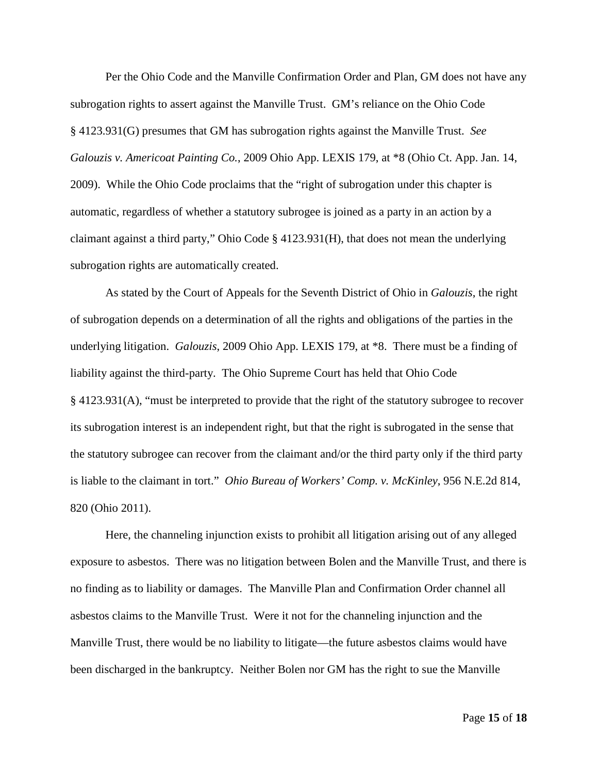Per the Ohio Code and the Manville Confirmation Order and Plan, GM does not have any subrogation rights to assert against the Manville Trust. GM's reliance on the Ohio Code § 4123.931(G) presumes that GM has subrogation rights against the Manville Trust. *See Galouzis v. Americoat Painting Co.*, 2009 Ohio App. LEXIS 179, at \*8 (Ohio Ct. App. Jan. 14, 2009). While the Ohio Code proclaims that the "right of subrogation under this chapter is automatic, regardless of whether a statutory subrogee is joined as a party in an action by a claimant against a third party," Ohio Code § 4123.931(H), that does not mean the underlying subrogation rights are automatically created.

As stated by the Court of Appeals for the Seventh District of Ohio in *Galouzis*, the right of subrogation depends on a determination of all the rights and obligations of the parties in the underlying litigation. *Galouzis*, 2009 Ohio App. LEXIS 179, at \*8. There must be a finding of liability against the third-party. The Ohio Supreme Court has held that Ohio Code § 4123.931(A), "must be interpreted to provide that the right of the statutory subrogee to recover its subrogation interest is an independent right, but that the right is subrogated in the sense that the statutory subrogee can recover from the claimant and/or the third party only if the third party is liable to the claimant in tort." *Ohio Bureau of Workers' Comp. v. McKinley*, 956 N.E.2d 814, 820 (Ohio 2011).

Here, the channeling injunction exists to prohibit all litigation arising out of any alleged exposure to asbestos. There was no litigation between Bolen and the Manville Trust, and there is no finding as to liability or damages. The Manville Plan and Confirmation Order channel all asbestos claims to the Manville Trust. Were it not for the channeling injunction and the Manville Trust, there would be no liability to litigate—the future asbestos claims would have been discharged in the bankruptcy. Neither Bolen nor GM has the right to sue the Manville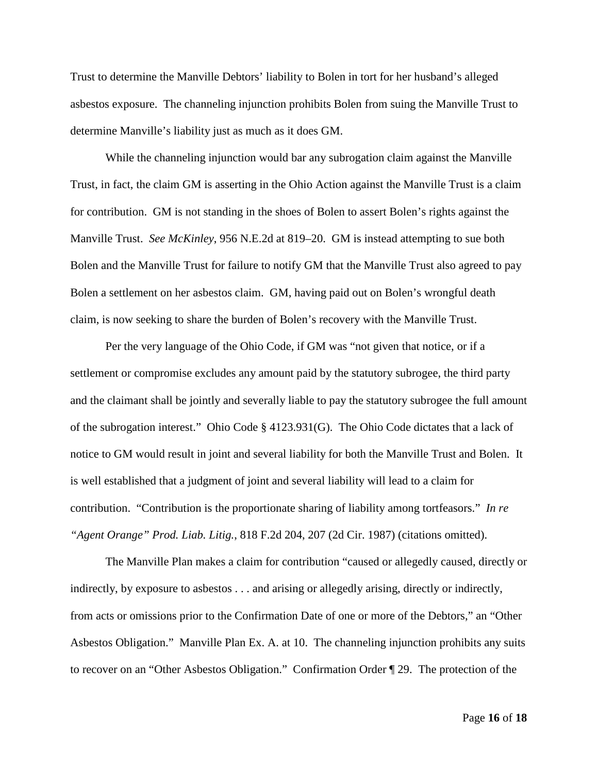Trust to determine the Manville Debtors' liability to Bolen in tort for her husband's alleged asbestos exposure. The channeling injunction prohibits Bolen from suing the Manville Trust to determine Manville's liability just as much as it does GM.

While the channeling injunction would bar any subrogation claim against the Manville Trust, in fact, the claim GM is asserting in the Ohio Action against the Manville Trust is a claim for contribution. GM is not standing in the shoes of Bolen to assert Bolen's rights against the Manville Trust. *See McKinley*, 956 N.E.2d at 819–20. GM is instead attempting to sue both Bolen and the Manville Trust for failure to notify GM that the Manville Trust also agreed to pay Bolen a settlement on her asbestos claim. GM, having paid out on Bolen's wrongful death claim, is now seeking to share the burden of Bolen's recovery with the Manville Trust.

Per the very language of the Ohio Code, if GM was "not given that notice, or if a settlement or compromise excludes any amount paid by the statutory subrogee, the third party and the claimant shall be jointly and severally liable to pay the statutory subrogee the full amount of the subrogation interest." Ohio Code § 4123.931(G). The Ohio Code dictates that a lack of notice to GM would result in joint and several liability for both the Manville Trust and Bolen. It is well established that a judgment of joint and several liability will lead to a claim for contribution. "Contribution is the proportionate sharing of liability among tortfeasors." *In re "Agent Orange" Prod. Liab. Litig.*, 818 F.2d 204, 207 (2d Cir. 1987) (citations omitted).

The Manville Plan makes a claim for contribution "caused or allegedly caused, directly or indirectly, by exposure to asbestos . . . and arising or allegedly arising, directly or indirectly, from acts or omissions prior to the Confirmation Date of one or more of the Debtors," an "Other Asbestos Obligation." Manville Plan Ex. A. at 10. The channeling injunction prohibits any suits to recover on an "Other Asbestos Obligation." Confirmation Order ¶ 29. The protection of the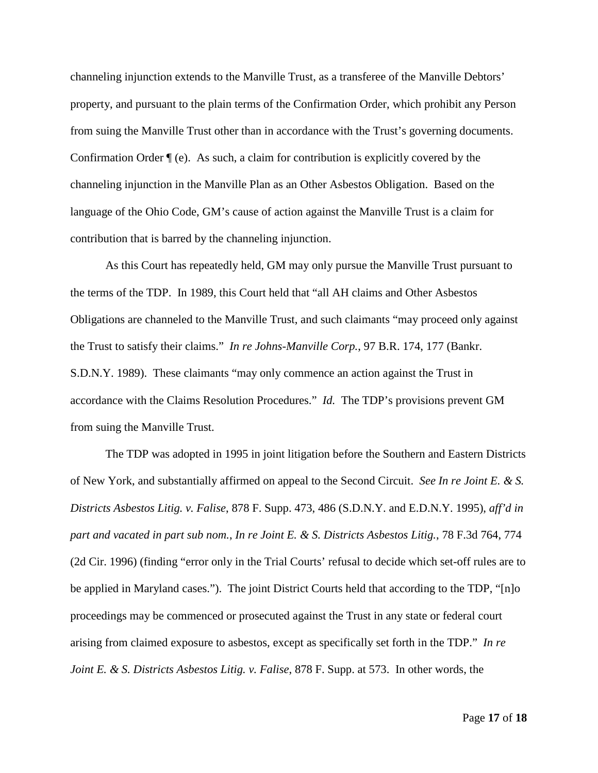channeling injunction extends to the Manville Trust, as a transferee of the Manville Debtors' property, and pursuant to the plain terms of the Confirmation Order, which prohibit any Person from suing the Manville Trust other than in accordance with the Trust's governing documents. Confirmation Order  $\P(e)$ . As such, a claim for contribution is explicitly covered by the channeling injunction in the Manville Plan as an Other Asbestos Obligation. Based on the language of the Ohio Code, GM's cause of action against the Manville Trust is a claim for contribution that is barred by the channeling injunction.

As this Court has repeatedly held, GM may only pursue the Manville Trust pursuant to the terms of the TDP. In 1989, this Court held that "all AH claims and Other Asbestos Obligations are channeled to the Manville Trust, and such claimants "may proceed only against the Trust to satisfy their claims." *In re Johns-Manville Corp.*, 97 B.R. 174, 177 (Bankr. S.D.N.Y. 1989). These claimants "may only commence an action against the Trust in accordance with the Claims Resolution Procedures." *Id.* The TDP's provisions prevent GM from suing the Manville Trust.

The TDP was adopted in 1995 in joint litigation before the Southern and Eastern Districts of New York, and substantially affirmed on appeal to the Second Circuit. *See In re Joint E. & S. Districts Asbestos Litig. v. Falise*, 878 F. Supp. 473, 486 (S.D.N.Y. and E.D.N.Y. 1995), *aff'd in part and vacated in part sub nom.*, *In re Joint E. & S. Districts Asbestos Litig.*, 78 F.3d 764, 774 (2d Cir. 1996) (finding "error only in the Trial Courts' refusal to decide which set-off rules are to be applied in Maryland cases."). The joint District Courts held that according to the TDP, "[n]o proceedings may be commenced or prosecuted against the Trust in any state or federal court arising from claimed exposure to asbestos, except as specifically set forth in the TDP." *In re Joint E. & S. Districts Asbestos Litig. v. Falise*, 878 F. Supp. at 573. In other words, the